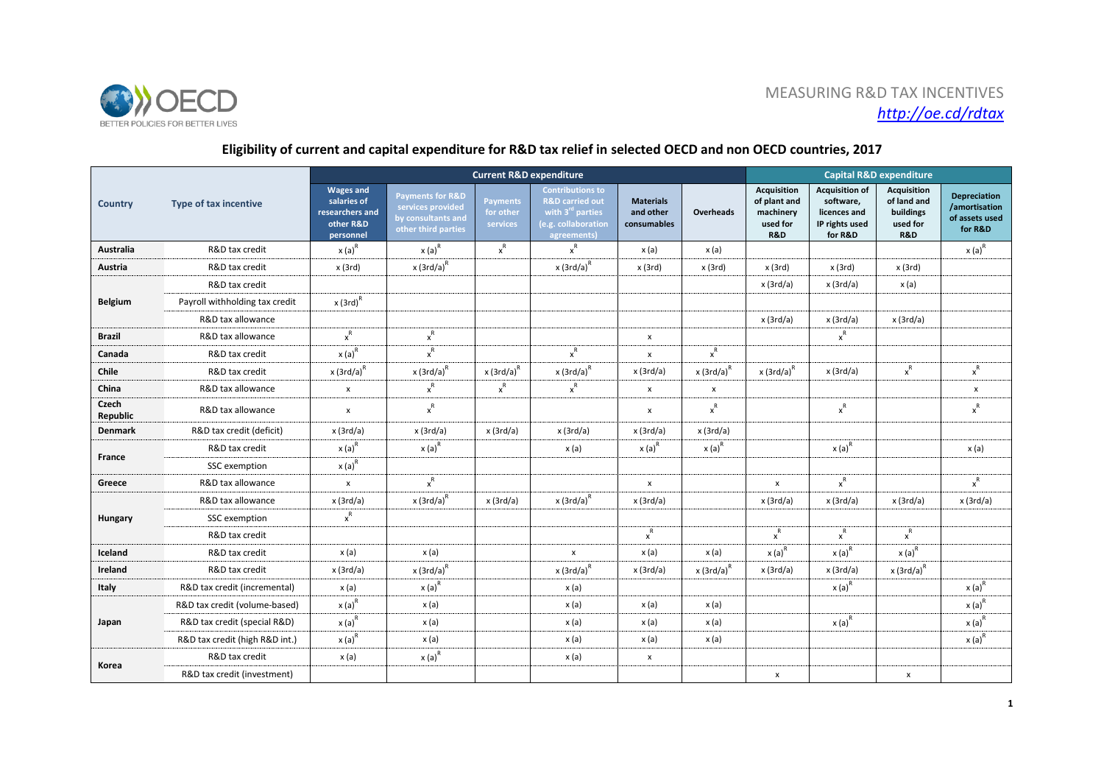



## **Eligibility of current and capital expenditure for R&D tax relief in selected OECD and non OECD countries, 2017**

|                   | <b>Type of tax incentive</b>   | <b>Current R&amp;D expenditure</b>                                           |                                                                                               |                                          |                                                                                                                      |                                              |                           |                                                                        | <b>Capital R&amp;D expenditure</b>                                              |                                                                   |                                                                   |  |
|-------------------|--------------------------------|------------------------------------------------------------------------------|-----------------------------------------------------------------------------------------------|------------------------------------------|----------------------------------------------------------------------------------------------------------------------|----------------------------------------------|---------------------------|------------------------------------------------------------------------|---------------------------------------------------------------------------------|-------------------------------------------------------------------|-------------------------------------------------------------------|--|
| <b>Country</b>    |                                | <b>Wages and</b><br>salaries of<br>researchers and<br>other R&D<br>personnel | <b>Payments for R&amp;D</b><br>services provided<br>by consultants and<br>other third parties | <b>Payments</b><br>for other<br>services | <b>Contributions to</b><br><b>R&amp;D carried out</b><br>with $3^{ra}$ parties<br>(e.g. collaboration<br>agreements) | <b>Materials</b><br>and other<br>consumables | <b>Overheads</b>          | Acquisition<br>of plant and<br>machinery<br>used for<br><b>R&amp;D</b> | <b>Acquisition of</b><br>software,<br>licences and<br>IP rights used<br>for R&D | <b>Acquisition</b><br>of land and<br>buildings<br>used for<br>R&D | <b>Depreciation</b><br>/amortisation<br>of assets used<br>for R&D |  |
| <b>Australia</b>  | R&D tax credit                 | $x(a)^R$                                                                     | $x(a)^R$                                                                                      | $\mathbf{x}^{\mathsf{R}}$                | $\mathsf{x}^{\mathsf{R}}$                                                                                            | x (a)                                        | x (a)                     |                                                                        |                                                                                 |                                                                   | $x(a)^R$                                                          |  |
| Austria           | R&D tax credit                 | x (3rd)                                                                      | $x$ (3rd/a) <sup>R</sup>                                                                      |                                          | $x(3rd/a)^R$                                                                                                         | x(3rd)                                       | x(3rd)                    | x(3rd)                                                                 | x(3rd)                                                                          | x(3rd)                                                            |                                                                   |  |
| <b>Belgium</b>    | R&D tax credit                 |                                                                              |                                                                                               |                                          |                                                                                                                      |                                              |                           | x(3rd/a)                                                               | x(3rd/a)                                                                        | x (a)                                                             |                                                                   |  |
|                   | Payroll withholding tax credit | $x(3rd)^R$                                                                   |                                                                                               |                                          |                                                                                                                      |                                              |                           |                                                                        |                                                                                 |                                                                   |                                                                   |  |
|                   | R&D tax allowance              |                                                                              |                                                                                               |                                          |                                                                                                                      |                                              |                           | x(3rd/a)                                                               | x(3rd/a)                                                                        | x(3rd/a)                                                          |                                                                   |  |
| <b>Brazil</b>     | R&D tax allowance              | $\mathbf{x}^{\mathsf{R}}$                                                    | $\mathsf{x}^{\mathsf{R}}$                                                                     |                                          |                                                                                                                      | $\pmb{\mathsf{x}}$                           |                           |                                                                        | $\mathsf{x}^{\mathsf{R}}$                                                       |                                                                   |                                                                   |  |
| Canada            | R&D tax credit                 | $x(a)^R$                                                                     | $\mathbf{x}^{\mathsf{R}}$                                                                     |                                          | $\mathsf{x}^{\mathsf{R}}$                                                                                            | $\pmb{\times}$                               | $\mathsf{x}^{\mathsf{R}}$ |                                                                        |                                                                                 |                                                                   |                                                                   |  |
| Chile             | R&D tax credit                 | $x$ (3rd/a) <sup>R</sup>                                                     | $x(3rd/a)^R$                                                                                  | $x(3rd/a)^R$                             | $x(3rd/a)^R$                                                                                                         | x(3rd/a)                                     | $x$ (3rd/a) <sup>R</sup>  | $x(3rd/a)^R$                                                           | x(3rd/a)                                                                        | $\mathsf{x}^{\mathsf{R}}$                                         | $x^R$                                                             |  |
| China             | R&D tax allowance              | x                                                                            | $\mathsf{x}^{\mathsf{R}}$                                                                     | $x^R$                                    | $\mathsf{x}^{\mathsf{R}}$                                                                                            | $\pmb{\mathsf{x}}$                           | $\pmb{\times}$            |                                                                        |                                                                                 |                                                                   | $\pmb{\mathsf{x}}$                                                |  |
| Czech<br>Republic | R&D tax allowance              | X                                                                            | $\mathsf{x}^\mathsf{R}$                                                                       |                                          |                                                                                                                      | x                                            | $x^R$                     |                                                                        | $\mathsf{x}^{\mathsf{R}}$                                                       |                                                                   | $\mathsf{x}^{\mathsf{R}}$                                         |  |
| <b>Denmark</b>    | R&D tax credit (deficit)       | x(3rd/a)                                                                     | x(3rd/a)                                                                                      | x (3rd/a)                                | x(3rd/a)                                                                                                             | x(3rd/a)                                     | x(3rd/a)                  |                                                                        |                                                                                 |                                                                   |                                                                   |  |
| France            | R&D tax credit                 | $x(a)^R$                                                                     | $x(a)^R$                                                                                      |                                          | x (a)                                                                                                                | $x(a)^R$                                     | $x(a)^R$                  |                                                                        | $x(a)^R$                                                                        |                                                                   | x(a)                                                              |  |
|                   | SSC exemption                  | $x(a)^R$                                                                     |                                                                                               |                                          |                                                                                                                      |                                              |                           |                                                                        |                                                                                 |                                                                   |                                                                   |  |
| Greece            | R&D tax allowance              | $\pmb{\mathsf{x}}$                                                           | $x^{\mathsf{R}}$                                                                              |                                          |                                                                                                                      | $\pmb{\mathsf{x}}$                           |                           | $\pmb{\mathsf{x}}$                                                     | $\mathsf{x}^{\mathsf{R}}$                                                       |                                                                   | $x^R$                                                             |  |
| Hungary           | R&D tax allowance              | x (3rd/a)                                                                    | $x$ (3rd/a) <sup>R</sup>                                                                      | x (3rd/a)                                | $x$ (3rd/a) <sup>R</sup>                                                                                             | x(3rd/a)                                     |                           | x(3rd/a)                                                               | x(3rd/a)                                                                        | x(3rd/a)                                                          | x(3rd/a)                                                          |  |
|                   | SSC exemption                  | $\mathsf{x}^{\mathsf{R}}$                                                    |                                                                                               |                                          |                                                                                                                      |                                              |                           |                                                                        |                                                                                 |                                                                   |                                                                   |  |
|                   | R&D tax credit                 |                                                                              |                                                                                               |                                          |                                                                                                                      | $x^R$                                        |                           | $x^{\mathsf{R}}$                                                       | $\mathsf{x}^\mathsf{R}$                                                         | $x^R$                                                             |                                                                   |  |
| Iceland           | R&D tax credit                 | x(a)                                                                         | x(a)                                                                                          |                                          | $\pmb{\mathsf{x}}$                                                                                                   | x (a)                                        | x (a)                     | $x(a)^R$                                                               | $x(a)^R$                                                                        | $x(a)^{R}$                                                        |                                                                   |  |
| Ireland           | R&D tax credit                 | x(3rd/a)                                                                     | $x$ (3rd/a) <sup>R</sup>                                                                      |                                          | $x(3rd/a)^R$                                                                                                         | x(3rd/a)                                     | $x(3rd/a)^R$              | x(3rd/a)                                                               | x(3rd/a)                                                                        | $x(3rd/a)^R$                                                      |                                                                   |  |
| Italy             | R&D tax credit (incremental)   | x(a)                                                                         | $x(a)^R$                                                                                      |                                          | x(a)                                                                                                                 |                                              |                           |                                                                        | $x(a)^{R}$                                                                      |                                                                   | $x(a)^{R}$                                                        |  |
| Japan             | R&D tax credit (volume-based)  | $x(a)^R$                                                                     | x (a)                                                                                         |                                          | x(a)                                                                                                                 | x (a)                                        | x (a)                     |                                                                        |                                                                                 |                                                                   | $x(a)^R$                                                          |  |
|                   | R&D tax credit (special R&D)   | $x(a)^R$                                                                     | x (a)                                                                                         |                                          | x(a)                                                                                                                 | x (a)                                        | x (a)                     |                                                                        | $x(a)^R$                                                                        |                                                                   | $x(a)^{R}$                                                        |  |
|                   | R&D tax credit (high R&D int.) | $x(a)^R$                                                                     | x (a)                                                                                         |                                          | x(a)                                                                                                                 | x (a)                                        | x (a)                     |                                                                        |                                                                                 |                                                                   | $x(a)^R$                                                          |  |
| Korea             | R&D tax credit                 | x (a)                                                                        | $x(a)^R$                                                                                      |                                          | x (a)                                                                                                                | $\pmb{\times}$                               |                           |                                                                        |                                                                                 |                                                                   |                                                                   |  |
|                   | R&D tax credit (investment)    |                                                                              |                                                                                               |                                          |                                                                                                                      |                                              |                           | $\pmb{\mathsf{x}}$                                                     |                                                                                 | $\pmb{\mathsf{x}}$                                                |                                                                   |  |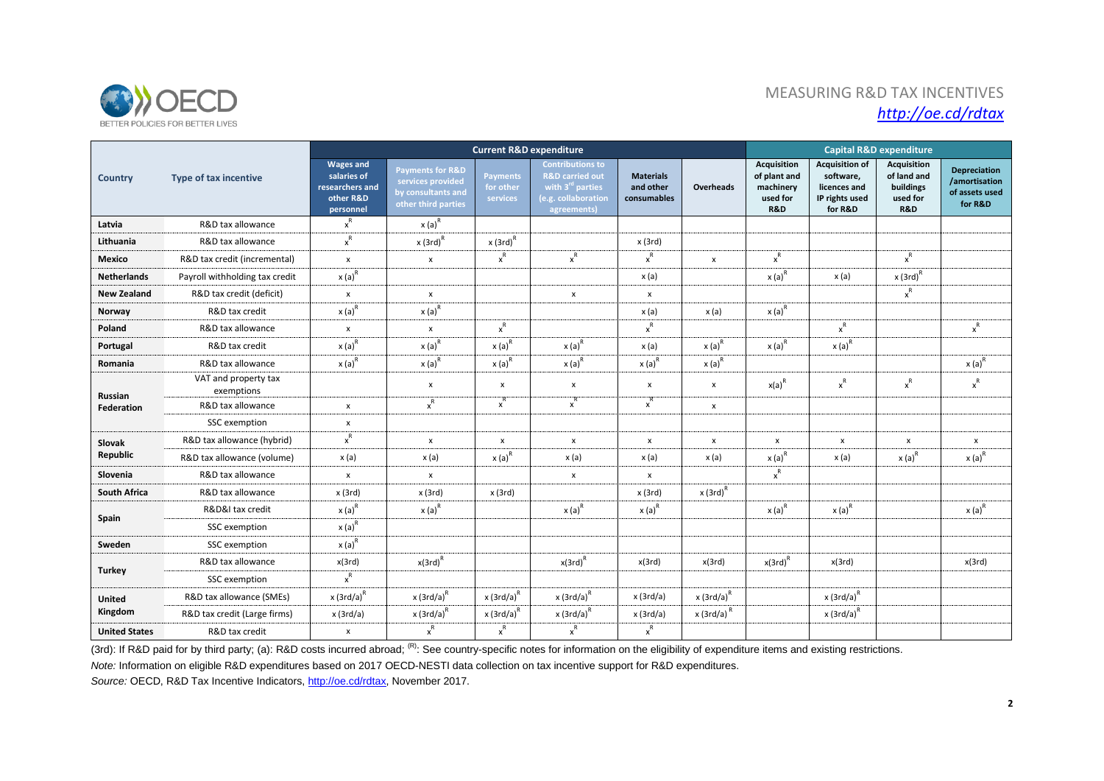

# MEASURING R&D TAX INCENTIVES *http://oe.cd/rdtax*

|                              | Type of tax incentive              | <b>Current R&amp;D expenditure</b>                                           |                                                                                               |                                          |                                                                                                                             |                                              |                    |                                                                    | <b>Capital R&amp;D expenditure</b>                                              |                                                                   |                                                                   |  |  |
|------------------------------|------------------------------------|------------------------------------------------------------------------------|-----------------------------------------------------------------------------------------------|------------------------------------------|-----------------------------------------------------------------------------------------------------------------------------|----------------------------------------------|--------------------|--------------------------------------------------------------------|---------------------------------------------------------------------------------|-------------------------------------------------------------------|-------------------------------------------------------------------|--|--|
| <b>Country</b>               |                                    | <b>Wages and</b><br>salaries of<br>researchers and<br>other R&D<br>personnel | <b>Payments for R&amp;D</b><br>services provided<br>by consultants and<br>other third parties | <b>Payments</b><br>for other<br>services | <b>Contributions to</b><br><b>R&amp;D</b> carried out<br>with 3 <sup>rd</sup> parties<br>(e.g. collaboration<br>agreements) | <b>Materials</b><br>and other<br>consumables | Overheads          | <b>Acquisition</b><br>of plant and<br>machinery<br>used for<br>R&D | <b>Acquisition of</b><br>software,<br>licences and<br>IP rights used<br>for R&D | <b>Acquisition</b><br>of land and<br>buildings<br>used for<br>R&D | <b>Depreciation</b><br>/amortisation<br>of assets used<br>for R&D |  |  |
| Latvia                       | R&D tax allowance                  | $x^R$                                                                        | $x(a)^R$                                                                                      |                                          |                                                                                                                             |                                              |                    |                                                                    |                                                                                 |                                                                   |                                                                   |  |  |
| Lithuania                    | R&D tax allowance                  | $x^R$                                                                        | $x(3rd)^R$                                                                                    | $x(3rd)^R$                               |                                                                                                                             | x(3rd)                                       |                    |                                                                    |                                                                                 |                                                                   |                                                                   |  |  |
| Mexico                       | R&D tax credit (incremental)       | x                                                                            | $\boldsymbol{\mathsf{x}}$                                                                     | $\mathsf{x}^{\mathsf{R}}$                | $\mathsf{x}^{\mathsf{R}}$                                                                                                   | $\mathsf{x}^\mathsf{R}$                      | $\pmb{\mathsf{x}}$ | $x^R$                                                              |                                                                                 | $\mathsf{x}^\mathsf{R}$                                           |                                                                   |  |  |
| <b>Netherlands</b>           | Payroll withholding tax credit     | $x(a)^R$                                                                     |                                                                                               |                                          |                                                                                                                             | x (a)                                        |                    | $x(a)^{R}$                                                         | x (a)                                                                           | $x(3rd)^R$                                                        |                                                                   |  |  |
| <b>New Zealand</b>           | R&D tax credit (deficit)           | $\pmb{\mathsf{x}}$                                                           | x                                                                                             |                                          | $\pmb{\times}$                                                                                                              | x                                            |                    |                                                                    |                                                                                 | $\mathsf{x}^{\mathsf{R}}$                                         |                                                                   |  |  |
| Norway                       | R&D tax credit                     | $x(a)^R$                                                                     | $x(a)^R$                                                                                      |                                          |                                                                                                                             | x (a)                                        | x (a)              | $x(a)^R$                                                           |                                                                                 |                                                                   |                                                                   |  |  |
| Poland                       | R&D tax allowance                  | x                                                                            | $\boldsymbol{\mathsf{x}}$                                                                     | $x^R$                                    |                                                                                                                             | $x^R$                                        |                    |                                                                    | $x^R$                                                                           |                                                                   | $\mathsf{x}^\mathsf{R}$                                           |  |  |
| Portugal                     | R&D tax credit                     | $x(a)^R$                                                                     | $x(a)^R$                                                                                      | $x(a)^R$                                 | $x(a)^R$                                                                                                                    | x (a)                                        | $x(a)^R$           | $x(a)^R$                                                           | $x(a)^R$                                                                        |                                                                   |                                                                   |  |  |
| Romania                      | R&D tax allowance                  | $x(a)^R$                                                                     | $x(a)^R$                                                                                      | $x(a)^R$                                 | $x(a)^R$                                                                                                                    | $x(a)^R$                                     | $x(a)^R$           |                                                                    |                                                                                 |                                                                   | $x(a)^{R}$                                                        |  |  |
| Russian<br><b>Federation</b> | VAT and property tax<br>exemptions |                                                                              | $\boldsymbol{\mathsf{x}}$                                                                     | $\pmb{\times}$                           | $\pmb{\mathsf{x}}$                                                                                                          | $\pmb{\chi}$                                 | x                  | $x(a)^R$                                                           | $x^R$                                                                           | $x^R$                                                             | $\mathsf{x}^\mathsf{R}$                                           |  |  |
|                              | R&D tax allowance                  | $\pmb{\mathsf{x}}$                                                           | $x^R$                                                                                         | $x^R$                                    | $\mathbf{x}^{\mathsf{R}^{\cdots}}$                                                                                          | $x^R$                                        | x                  |                                                                    |                                                                                 |                                                                   |                                                                   |  |  |
|                              | SSC exemption                      | $\pmb{\mathsf{x}}$                                                           |                                                                                               |                                          |                                                                                                                             |                                              |                    |                                                                    |                                                                                 |                                                                   |                                                                   |  |  |
| Slovak<br>Republic           | R&D tax allowance (hybrid)         | $x^R$                                                                        | $\pmb{\chi}$                                                                                  | $\pmb{\times}$                           | $\pmb{\times}$                                                                                                              | x                                            | x                  | $\pmb{\mathsf{x}}$                                                 | $\pmb{\chi}$                                                                    | $\boldsymbol{\mathsf{x}}$                                         | x                                                                 |  |  |
|                              | R&D tax allowance (volume)         | x(a)                                                                         | x(a)                                                                                          | $x(a)^R$                                 | x (a)                                                                                                                       | x (a)                                        | x(a)               | $x(a)^{R}$                                                         | x(a)                                                                            | $x(a)^R$                                                          | $x(a)^R$                                                          |  |  |
| Slovenia                     | R&D tax allowance                  | x                                                                            | $\pmb{\mathsf{x}}$                                                                            |                                          | $\pmb{\mathsf{x}}$                                                                                                          | $\pmb{\mathsf{x}}$                           |                    | $\mathsf{x}^{\mathsf{R}}$                                          |                                                                                 |                                                                   |                                                                   |  |  |
| <b>South Africa</b>          | R&D tax allowance                  | x(3rd)                                                                       | x (3rd)                                                                                       | x(3rd)                                   |                                                                                                                             | x(3rd)                                       | $x(3rd)^R$         |                                                                    |                                                                                 |                                                                   |                                                                   |  |  |
| Spain                        | R&D&I tax credit                   | $x(a)^R$                                                                     | $x(a)^R$                                                                                      |                                          | $x(a)^{R}$                                                                                                                  | $x(a)^R$                                     |                    | $x(a)^R$                                                           | $x(a)^R$                                                                        |                                                                   | $x(a)^R$                                                          |  |  |
|                              | SSC exemption                      | $x(a)^{R}$                                                                   |                                                                                               |                                          |                                                                                                                             |                                              |                    |                                                                    |                                                                                 |                                                                   |                                                                   |  |  |
| Sweden                       | SSC exemption                      | $x(a)^{R}$                                                                   |                                                                                               |                                          |                                                                                                                             |                                              |                    |                                                                    |                                                                                 |                                                                   |                                                                   |  |  |
| <b>Turkey</b>                | R&D tax allowance                  | x(3rd)                                                                       | $x(3rd)^R$                                                                                    |                                          | $x(3rd)^R$                                                                                                                  | x(3rd)                                       | x(3rd)             | $x(3rd)^R$                                                         | x(3rd)                                                                          |                                                                   | x(3rd)                                                            |  |  |
|                              | SSC exemption                      | $x^R$                                                                        |                                                                                               |                                          |                                                                                                                             |                                              |                    |                                                                    |                                                                                 |                                                                   |                                                                   |  |  |
| United<br>Kingdom            | R&D tax allowance (SMEs)           | $x(3rd/a)^R$                                                                 | $x$ (3rd/a) <sup>R</sup>                                                                      | $x(3rd/a)^R$                             | $x(3rd/a)^R$                                                                                                                | x(3rd/a)                                     | $x(3rd/a)^R$       |                                                                    | $x(3rd/a)^R$                                                                    |                                                                   |                                                                   |  |  |
|                              | R&D tax credit (Large firms)       | x(3rd/a)                                                                     | $x(3rd/a)^R$                                                                                  | $x(3rd/a)^R$                             | $x(3rd/a)^R$                                                                                                                | x(3rd/a)                                     | $x(3rd/a)^R$       |                                                                    | $x(3rd/a)^R$                                                                    |                                                                   |                                                                   |  |  |
| <b>United States</b>         | R&D tax credit                     | $\pmb{\mathsf{x}}$                                                           | $\mathbf{x}^{\mathsf{R}}$                                                                     | $\mathsf{x}^\mathsf{R}$                  | $\mathbf{x}^{\mathsf{R}}$                                                                                                   | $\mathsf{x}^\mathsf{R}$                      |                    |                                                                    |                                                                                 |                                                                   |                                                                   |  |  |

(3rd): If R&D paid for by third party; (a): R&D costs incurred abroad; <sup>(R)</sup>: See country-specific notes for information on the eligibility of expenditure items and existing restrictions.

*Note:* Information on eligible R&D expenditures based on 2017 OECD-NESTI data collection on tax incentive support for R&D expenditures.

Source: OECD, R&D Tax Incentive Indicators, [http://oe.cd/rdtax,](http://oe.cd/rdtax) November 2017.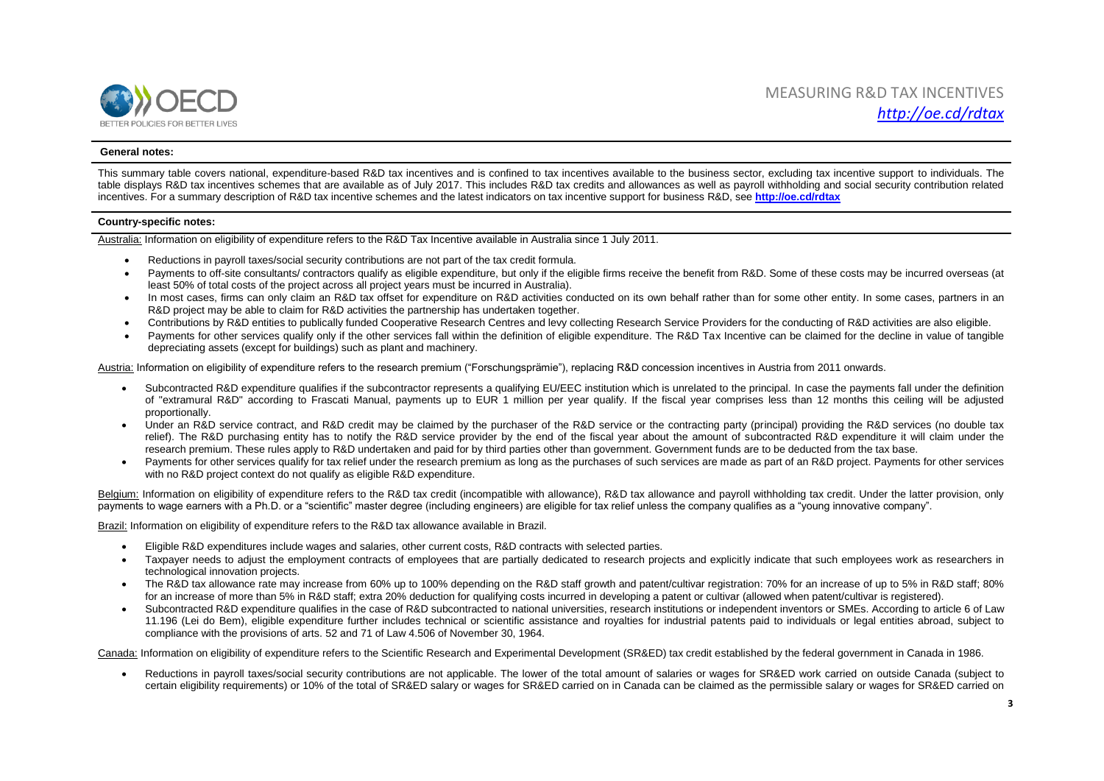

### **General notes:**

This summary table covers national, expenditure-based R&D tax incentives and is confined to tax incentives available to the business sector, excluding tax incentive support to individuals. The table displays R&D tax incentives schemes that are available as of July 2017. This includes R&D tax credits and allowances as well as payroll withholding and social security contribution related incentives. For a summary description of R&D tax incentive schemes and the latest indicators on tax incentive support for business R&D, see **<http://oe.cd/rdtax>**

#### **Country-specific notes:**

Australia: Information on eligibility of expenditure refers to the R&D Tax Incentive available in Australia since 1 July 2011.

- Reductions in payroll taxes/social security contributions are not part of the tax credit formula.
- Payments to off-site consultants/ contractors qualify as eligible expenditure, but only if the eligible firms receive the benefit from R&D. Some of these costs may be incurred overseas (at least 50% of total costs of the project across all project years must be incurred in Australia).
- In most cases, firms can only claim an R&D tax offset for expenditure on R&D activities conducted on its own behalf rather than for some other entity. In some cases, partners in an R&D project may be able to claim for R&D activities the partnership has undertaken together.
- Contributions by R&D entities to publically funded Cooperative Research Centres and levy collecting Research Service Providers for the conducting of R&D activities are also eligible.
- Payments for other services qualify only if the other services fall within the definition of eligible expenditure. The R&D Tax Incentive can be claimed for the decline in value of tangible depreciating assets (except for buildings) such as plant and machinery.

Austria: Information on eligibility of expenditure refers to the research premium ("Forschungsprämie"), replacing R&D concession incentives in Austria from 2011 onwards.

- Subcontracted R&D expenditure qualifies if the subcontractor represents a qualifying EU/EEC institution which is unrelated to the principal. In case the payments fall under the definition of "extramural R&D" according to Frascati Manual, payments up to EUR 1 million per year qualify. If the fiscal year comprises less than 12 months this ceiling will be adjusted proportionally.
- Under an R&D service contract, and R&D credit may be claimed by the purchaser of the R&D service or the contracting party (principal) providing the R&D services (no double tax relief). The R&D purchasing entity has to notify the R&D service provider by the end of the fiscal year about the amount of subcontracted R&D expenditure it will claim under the research premium. These rules apply to R&D undertaken and paid for by third parties other than government. Government funds are to be deducted from the tax base.
- Payments for other services qualify for tax relief under the research premium as long as the purchases of such services are made as part of an R&D project. Payments for other services with no R&D project context do not qualify as eligible R&D expenditure.

Belgium: Information on eligibility of expenditure refers to the R&D tax credit (incompatible with allowance), R&D tax allowance and payroll withholding tax credit. Under the latter provision, only payments to wage earners with a Ph.D. or a "scientific" master degree (including engineers) are eligible for tax relief unless the company qualifies as a "young innovative company".

Brazil: Information on eligibility of expenditure refers to the R&D tax allowance available in Brazil.

- Eligible R&D expenditures include wages and salaries, other current costs, R&D contracts with selected parties.
- Taxpayer needs to adjust the employment contracts of employees that are partially dedicated to research projects and explicitly indicate that such employees work as researchers in technological innovation projects.
- The R&D tax allowance rate may increase from 60% up to 100% depending on the R&D staff growth and patent/cultivar registration: 70% for an increase of up to 5% in R&D staff: 80% for an increase of more than 5% in R&D staff; extra 20% deduction for qualifying costs incurred in developing a patent or cultivar (allowed when patent/cultivar is registered).
- Subcontracted R&D expenditure qualifies in the case of R&D subcontracted to national universities, research institutions or independent inventors or SMEs. According to article 6 of Law 11.196 (Lei do Bem), eligible expenditure further includes technical or scientific assistance and royalties for industrial patents paid to individuals or legal entities abroad, subject to compliance with the provisions of arts. 52 and 71 of Law 4.506 of November 30, 1964.

Canada: Information on eligibility of expenditure refers to the Scientific Research and Experimental Development (SR&ED) tax credit established by the federal government in Canada in 1986.

• Reductions in payroll taxes/social security contributions are not applicable. The lower of the total amount of salaries or wages for SR&ED work carried on outside Canada (subject to certain eligibility requirements) or 10% of the total of SR&ED salary or wages for SR&ED carried on in Canada can be claimed as the permissible salary or wages for SR&ED carried on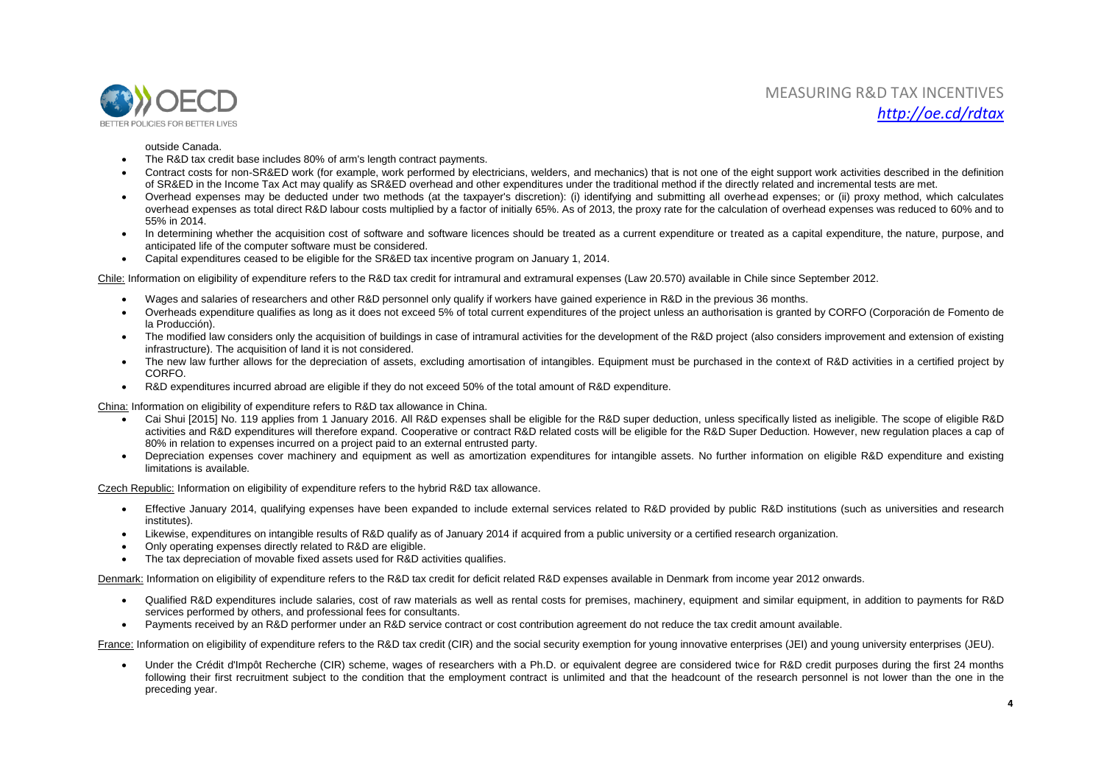

### outside Canada.

- The R&D tax credit base includes 80% of arm's length contract payments.
- Contract costs for non-SR&ED work (for example, work performed by electricians, welders, and mechanics) that is not one of the eight support work activities described in the definition of SR&ED in the Income Tax Act may qualify as SR&ED overhead and other expenditures under the traditional method if the directly related and incremental tests are met.
- Overhead expenses may be deducted under two methods (at the taxpayer's discretion): (i) identifying and submitting all overhead expenses; or (ii) proxy method, which calculates overhead expenses as total direct R&D labour costs multiplied by a factor of initially 65%. As of 2013, the proxy rate for the calculation of overhead expenses was reduced to 60% and to 55% in 2014.
- In determining whether the acquisition cost of software and software licences should be treated as a current expenditure or treated as a capital expenditure, the nature, purpose, and anticipated life of the computer software must be considered.
- Capital expenditures ceased to be eligible for the SR&ED tax incentive program on January 1, 2014.

Chile: Information on eligibility of expenditure refers to the R&D tax credit for intramural and extramural expenses (Law 20.570) available in Chile since September 2012.

- Wages and salaries of researchers and other R&D personnel only qualify if workers have gained experience in R&D in the previous 36 months.
- Overheads expenditure qualifies as long as it does not exceed 5% of total current expenditures of the project unless an authorisation is granted by CORFO (Corporación de Fomento de la Producción).
- The modified law considers only the acquisition of buildings in case of intramural activities for the development of the R&D project (also considers improvement and extension of existing infrastructure). The acquisition of land it is not considered.
- The new law further allows for the depreciation of assets, excluding amortisation of intangibles. Equipment must be purchased in the context of R&D activities in a certified project by CORFO.
- R&D expenditures incurred abroad are eligible if they do not exceed 50% of the total amount of R&D expenditure.

China: Information on eligibility of expenditure refers to R&D tax allowance in China.

- Cai Shui [2015] No. 119 applies from 1 January 2016. All R&D expenses shall be eligible for the R&D super deduction, unless specifically listed as ineligible. The scope of eligible R&D activities and R&D expenditures will therefore expand. Cooperative or contract R&D related costs will be eligible for the R&D Super Deduction. However, new regulation places a cap of 80% in relation to expenses incurred on a project paid to an external entrusted party.
- Depreciation expenses cover machinery and equipment as well as amortization expenditures for intangible assets. No further information on eligible R&D expenditure and existing limitations is available.

Czech Republic: Information on eligibility of expenditure refers to the hybrid R&D tax allowance.

- Effective January 2014, qualifying expenses have been expanded to include external services related to R&D provided by public R&D institutions (such as universities and research institutes).
- Likewise, expenditures on intangible results of R&D qualify as of January 2014 if acquired from a public university or a certified research organization.
- Only operating expenses directly related to R&D are eligible.
- The tax depreciation of movable fixed assets used for R&D activities qualifies.

Denmark: Information on eligibility of expenditure refers to the R&D tax credit for deficit related R&D expenses available in Denmark from income year 2012 onwards.

- Qualified R&D expenditures include salaries, cost of raw materials as well as rental costs for premises, machinery, equipment and similar equipment, in addition to payments for R&D services performed by others, and professional fees for consultants.
- Payments received by an R&D performer under an R&D service contract or cost contribution agreement do not reduce the tax credit amount available.

France: Information on eligibility of expenditure refers to the R&D tax credit (CIR) and the social security exemption for young innovative enterprises (JEI) and young university enterprises (JEU).

• Under the Crédit d'Impôt Recherche (CIR) scheme, wages of researchers with a Ph.D. or equivalent degree are considered twice for R&D credit purposes during the first 24 months following their first recruitment subject to the condition that the employment contract is unlimited and that the headcount of the research personnel is not lower than the one in the preceding year.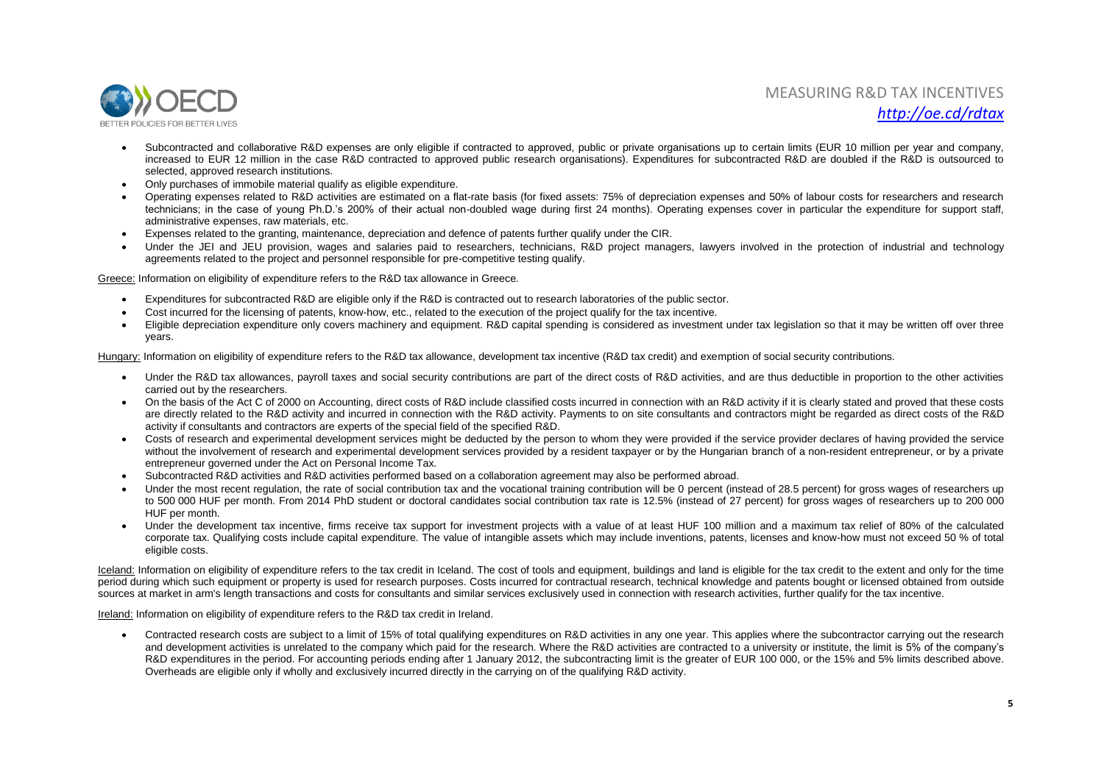

- Subcontracted and collaborative R&D expenses are only eligible if contracted to approved, public or private organisations up to certain limits (EUR 10 million per year and company, increased to EUR 12 million in the case R&D contracted to approved public research organisations). Expenditures for subcontracted R&D are doubled if the R&D is outsourced to selected, approved research institutions.
- Only purchases of immobile material qualify as eligible expenditure.
- Operating expenses related to R&D activities are estimated on a flat-rate basis (for fixed assets: 75% of depreciation expenses and 50% of labour costs for researchers and research technicians; in the case of young Ph.D.'s 200% of their actual non-doubled wage during first 24 months). Operating expenses cover in particular the expenditure for support staff, administrative expenses, raw materials, etc.
- Expenses related to the granting, maintenance, depreciation and defence of patents further qualify under the CIR.
- Under the JEI and JEU provision, wages and salaries paid to researchers, technicians, R&D project managers, lawyers involved in the protection of industrial and technology agreements related to the project and personnel responsible for pre-competitive testing qualify.

Greece: Information on eligibility of expenditure refers to the R&D tax allowance in Greece.

- Expenditures for subcontracted R&D are eligible only if the R&D is contracted out to research laboratories of the public sector.
- Cost incurred for the licensing of patents, know-how, etc., related to the execution of the project qualify for the tax incentive.
- Eligible depreciation expenditure only covers machinery and equipment. R&D capital spending is considered as investment under tax legislation so that it may be written off over three years.

Hungary: Information on eligibility of expenditure refers to the R&D tax allowance, development tax incentive (R&D tax credit) and exemption of social security contributions.

- Under the R&D tax allowances, payroll taxes and social security contributions are part of the direct costs of R&D activities, and are thus deductible in proportion to the other activities carried out by the researchers.
- On the basis of the Act C of 2000 on Accounting, direct costs of R&D include classified costs incurred in connection with an R&D activity if it is clearly stated and proved that these costs are directly related to the R&D activity and incurred in connection with the R&D activity. Payments to on site consultants and contractors might be regarded as direct costs of the R&D activity if consultants and contractors are experts of the special field of the specified R&D.
- Costs of research and experimental development services might be deducted by the person to whom they were provided if the service provider declares of having provided the service without the involvement of research and experimental development services provided by a resident taxpayer or by the Hungarian branch of a non-resident entrepreneur, or by a private entrepreneur governed under the Act on Personal Income Tax.
- Subcontracted R&D activities and R&D activities performed based on a collaboration agreement may also be performed abroad.
- Under the most recent regulation, the rate of social contribution tax and the vocational training contribution will be 0 percent (instead of 28.5 percent) for gross wages of researchers up to 500 000 HUF per month. From 2014 PhD student or doctoral candidates social contribution tax rate is 12.5% (instead of 27 percent) for gross wages of researchers up to 200 000 HUF per month.
- Under the development tax incentive, firms receive tax support for investment projects with a value of at least HUF 100 million and a maximum tax relief of 80% of the calculated corporate tax. Qualifying costs include capital expenditure. The value of intangible assets which may include inventions, patents, licenses and know-how must not exceed 50 % of total eligible costs.

Iceland: Information on eligibility of expenditure refers to the tax credit in Iceland. The cost of tools and equipment, buildings and land is eligible for the tax credit to the extent and only for the time period during which such equipment or property is used for research purposes. Costs incurred for contractual research, technical knowledge and patents bought or licensed obtained from outside sources at market in arm's length transactions and costs for consultants and similar services exclusively used in connection with research activities, further qualify for the tax incentive.

Ireland: Information on eligibility of expenditure refers to the R&D tax credit in Ireland.

• Contracted research costs are subject to a limit of 15% of total qualifying expenditures on R&D activities in any one year. This applies where the subcontractor carrying out the research and development activities is unrelated to the company which paid for the research. Where the R&D activities are contracted to a university or institute, the limit is 5% of the company's R&D expenditures in the period. For accounting periods ending after 1 January 2012, the subcontracting limit is the greater of EUR 100 000, or the 15% and 5% limits described above. Overheads are eligible only if wholly and exclusively incurred directly in the carrying on of the qualifying R&D activity.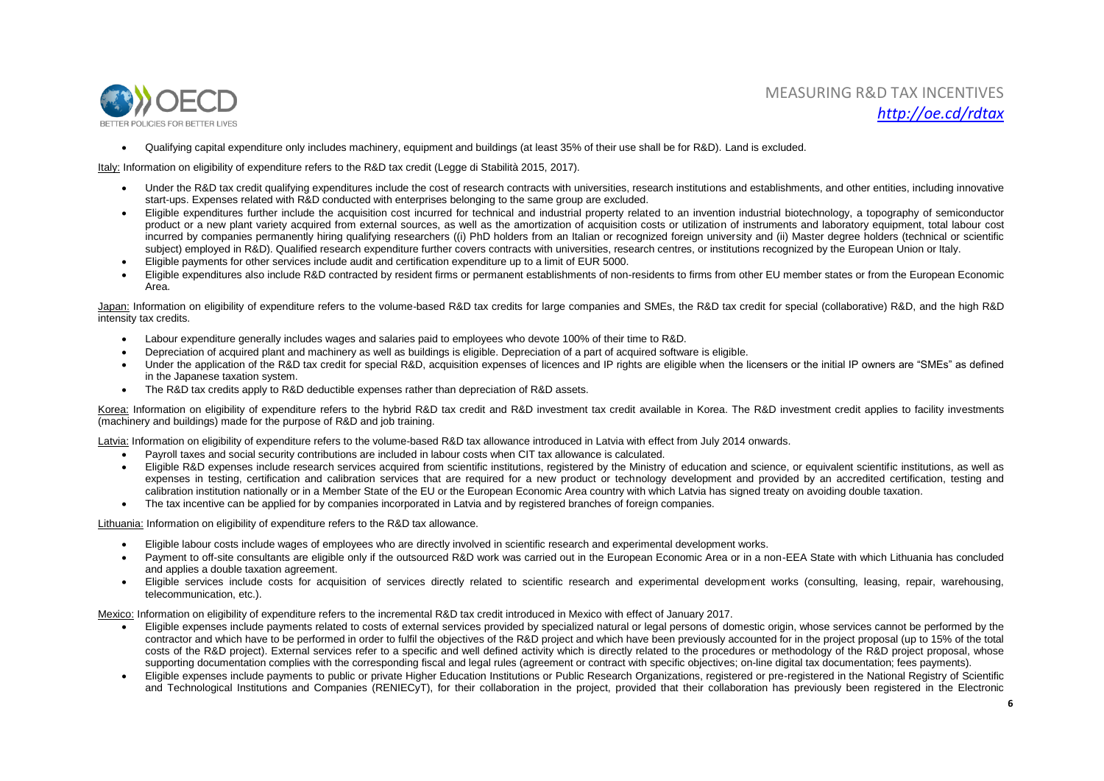

Qualifying capital expenditure only includes machinery, equipment and buildings (at least 35% of their use shall be for R&D). Land is excluded.

Italy: Information on eligibility of expenditure refers to the R&D tax credit (Legge di Stabilità 2015, 2017).

- Under the R&D tax credit qualifying expenditures include the cost of research contracts with universities, research institutions and establishments, and other entities, including innovative start-ups. Expenses related with R&D conducted with enterprises belonging to the same group are excluded.
- Eligible expenditures further include the acquisition cost incurred for technical and industrial property related to an invention industrial biotechnology, a topography of semiconductor product or a new plant variety acquired from external sources, as well as the amortization of acquisition costs or utilization of instruments and laboratory equipment, total labour cost incurred by companies permanently hiring qualifying researchers ((i) PhD holders from an Italian or recognized foreign university and (ii) Master degree holders (technical or scientific subject) employed in R&D). Qualified research expenditure further covers contracts with universities, research centres, or institutions recognized by the European Union or Italy.
- Eligible payments for other services include audit and certification expenditure up to a limit of EUR 5000.
- Eligible expenditures also include R&D contracted by resident firms or permanent establishments of non-residents to firms from other EU member states or from the European Economic Area.

Japan: Information on eligibility of expenditure refers to the volume-based R&D tax credits for large companies and SMEs, the R&D tax credit for special (collaborative) R&D, and the high R&D intensity tax credits.

- Labour expenditure generally includes wages and salaries paid to employees who devote 100% of their time to R&D.
- Depreciation of acquired plant and machinery as well as buildings is eligible. Depreciation of a part of acquired software is eligible.
- Under the application of the R&D tax credit for special R&D, acquisition expenses of licences and IP rights are eligible when the licensers or the initial IP owners are "SMEs" as defined in the Japanese taxation system.
- The R&D tax credits apply to R&D deductible expenses rather than depreciation of R&D assets.

Korea: Information on eligibility of expenditure refers to the hybrid R&D tax credit and R&D investment tax credit available in Korea. The R&D investment credit applies to facility investments (machinery and buildings) made for the purpose of R&D and job training.

Latvia: Information on eligibility of expenditure refers to the volume-based R&D tax allowance introduced in Latvia with effect from July 2014 onwards.

- Payroll taxes and social security contributions are included in labour costs when CIT tax allowance is calculated.
- Eligible R&D expenses include research services acquired from scientific institutions, registered by the Ministry of education and science, or equivalent scientific institutions, as well as expenses in testing, certification and calibration services that are required for a new product or technology development and provided by an accredited certification, testing and calibration institution nationally or in a Member State of the EU or the European Economic Area country with which Latvia has signed treaty on avoiding double taxation.
- The tax incentive can be applied for by companies incorporated in Latvia and by registered branches of foreign companies.

Lithuania: Information on eligibility of expenditure refers to the R&D tax allowance.

- Eligible labour costs include wages of employees who are directly involved in scientific research and experimental development works.
- Payment to off-site consultants are eligible only if the outsourced R&D work was carried out in the European Economic Area or in a non-EEA State with which Lithuania has concluded and applies a double taxation agreement.
- Eligible services include costs for acquisition of services directly related to scientific research and experimental development works (consulting, leasing, repair, warehousing, telecommunication, etc.).

Mexico: Information on eligibility of expenditure refers to the incremental R&D tax credit introduced in Mexico with effect of January 2017.

- Eligible expenses include payments related to costs of external services provided by specialized natural or legal persons of domestic origin, whose services cannot be performed by the contractor and which have to be performed in order to fulfil the objectives of the R&D project and which have been previously accounted for in the project proposal (up to 15% of the total costs of the R&D project). External services refer to a specific and well defined activity which is directly related to the procedures or methodology of the R&D project proposal, whose supporting documentation complies with the corresponding fiscal and legal rules (agreement or contract with specific objectives; on-line digital tax documentation; fees payments).
- Eligible expenses include payments to public or private Higher Education Institutions or Public Research Organizations, registered or pre-registered in the National Registry of Scientific and Technological Institutions and Companies (RENIECyT), for their collaboration in the project, provided that their collaboration has previously been registered in the Electronic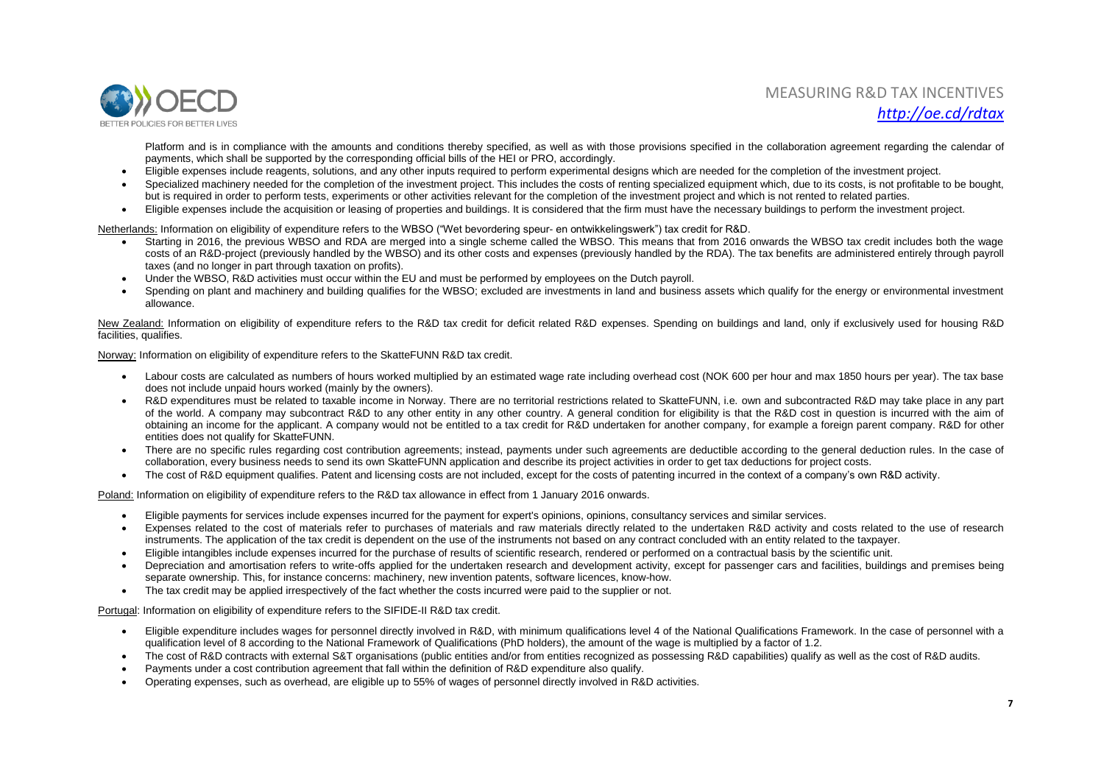

Platform and is in compliance with the amounts and conditions thereby specified, as well as with those provisions specified in the collaboration agreement regarding the calendar of payments, which shall be supported by the corresponding official bills of the HEI or PRO, accordingly.

- Eligible expenses include reagents, solutions, and any other inputs required to perform experimental designs which are needed for the completion of the investment project.
- Specialized machinery needed for the completion of the investment project. This includes the costs of renting specialized equipment which, due to its costs, is not profitable to be bought. but is required in order to perform tests, experiments or other activities relevant for the completion of the investment project and which is not rented to related parties.
- Eligible expenses include the acquisition or leasing of properties and buildings. It is considered that the firm must have the necessary buildings to perform the investment project.

Netherlands: Information on eligibility of expenditure refers to the WBSO ("Wet bevordering speur- en ontwikkelingswerk") tax credit for R&D.

- Starting in 2016, the previous WBSO and RDA are merged into a single scheme called the WBSO. This means that from 2016 onwards the WBSO tax credit includes both the wage costs of an R&D-project (previously handled by the WBSO) and its other costs and expenses (previously handled by the RDA). The tax benefits are administered entirely through payroll taxes (and no longer in part through taxation on profits).
- Under the WBSO, R&D activities must occur within the EU and must be performed by employees on the Dutch payroll.
- Spending on plant and machinery and building qualifies for the WBSO; excluded are investments in land and business assets which qualify for the energy or environmental investment allowance.

New Zealand: Information on eligibility of expenditure refers to the R&D tax credit for deficit related R&D expenses. Spending on buildings and land, only if exclusively used for housing R&D facilities, qualifies.

Norway: Information on eligibility of expenditure refers to the SkatteFUNN R&D tax credit.

- Labour costs are calculated as numbers of hours worked multiplied by an estimated wage rate including overhead cost (NOK 600 per hour and max 1850 hours per year). The tax base does not include unpaid hours worked (mainly by the owners).
- R&D expenditures must be related to taxable income in Norway. There are no territorial restrictions related to SkatteFUNN, i.e. own and subcontracted R&D may take place in any part of the world. A company may subcontract R&D to any other entity in any other country. A general condition for eligibility is that the R&D cost in question is incurred with the aim of obtaining an income for the applicant. A company would not be entitled to a tax credit for R&D undertaken for another company, for example a foreign parent company. R&D for other entities does not qualify for SkatteFUNN.
- There are no specific rules regarding cost contribution agreements; instead, payments under such agreements are deductible according to the general deduction rules. In the case of collaboration, every business needs to send its own SkatteFUNN application and describe its project activities in order to get tax deductions for project costs.
- The cost of R&D equipment qualifies. Patent and licensing costs are not included, except for the costs of patenting incurred in the context of a company's own R&D activity.

Poland: Information on eligibility of expenditure refers to the R&D tax allowance in effect from 1 January 2016 onwards.

- Eligible payments for services include expenses incurred for the payment for expert's opinions, opinions, consultancy services and similar services.
- Expenses related to the cost of materials refer to purchases of materials and raw materials directly related to the undertaken R&D activity and costs related to the use of research instruments. The application of the tax credit is dependent on the use of the instruments not based on any contract concluded with an entity related to the taxpayer.
- Eligible intangibles include expenses incurred for the purchase of results of scientific research, rendered or performed on a contractual basis by the scientific unit.
- Depreciation and amortisation refers to write-offs applied for the undertaken research and development activity, except for passenger cars and facilities, buildings and premises being separate ownership. This, for instance concerns: machinery, new invention patents, software licences, know-how.
- The tax credit may be applied irrespectively of the fact whether the costs incurred were paid to the supplier or not.

Portugal: Information on eligibility of expenditure refers to the SIFIDE-II R&D tax credit.

- Eligible expenditure includes wages for personnel directly involved in R&D, with minimum qualifications level 4 of the National Qualifications Framework. In the case of personnel with a qualification level of 8 according to the National Framework of Qualifications (PhD holders), the amount of the wage is multiplied by a factor of 1.2.
- The cost of R&D contracts with external S&T organisations (public entities and/or from entities recognized as possessing R&D capabilities) qualify as well as the cost of R&D audits.
- Payments under a cost contribution agreement that fall within the definition of R&D expenditure also qualify.
- Operating expenses, such as overhead, are eligible up to 55% of wages of personnel directly involved in R&D activities.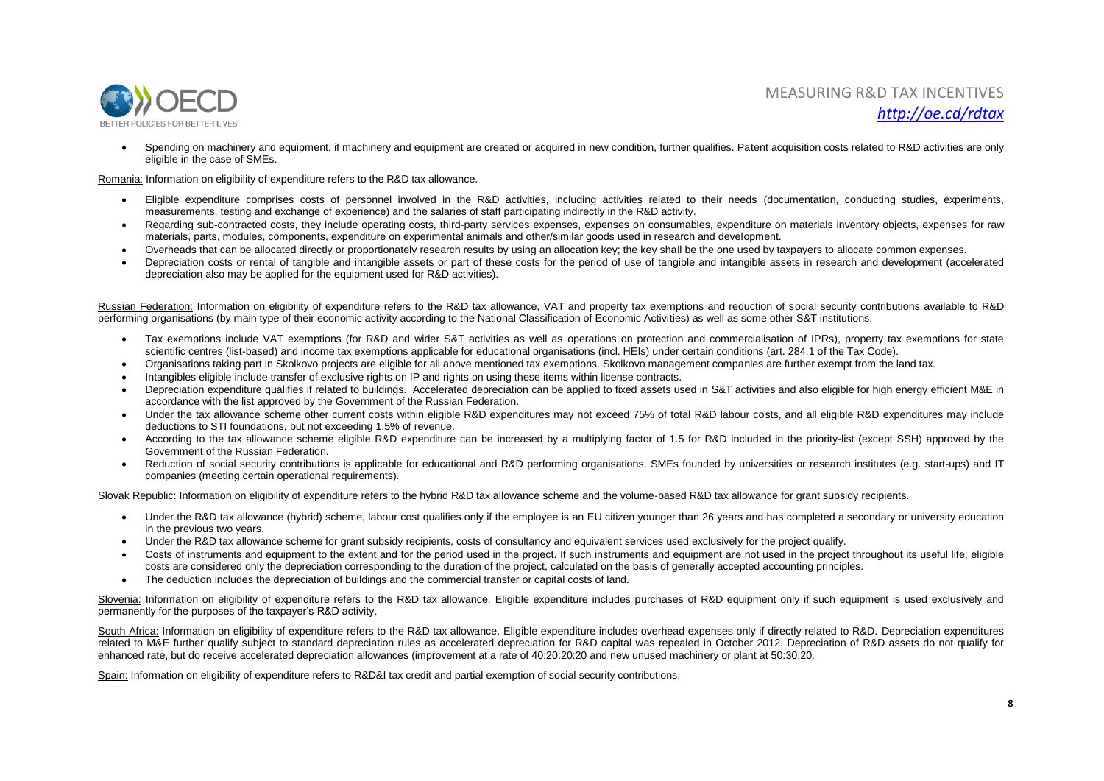

• Spending on machinery and equipment, if machinery and equipment are created or acquired in new condition, further qualifies, Patent acquisition costs related to R&D activities are only eligible in the case of SMEs.

Romania: Information on eligibility of expenditure refers to the R&D tax allowance.

- Eligible expenditure comprises costs of personnel involved in the R&D activities, including activities related to their needs (documentation, conducting studies, experiments, measurements, testing and exchange of experience) and the salaries of staff participating indirectly in the R&D activity.
- Regarding sub-contracted costs, they include operating costs, third-party services expenses, expenses on consumables, expenditure on materials inventory objects, expenses for raw materials, parts, modules, components, expenditure on experimental animals and other/similar goods used in research and development.
- Overheads that can be allocated directly or proportionately research results by using an allocation key; the key shall be the one used by taxpayers to allocate common expenses.
- Depreciation costs or rental of tangible and intangible assets or part of these costs for the period of use of tangible and intangible assets in research and development (accelerated depreciation also may be applied for the equipment used for R&D activities).

Russian Federation: Information on eligibility of expenditure refers to the R&D tax allowance, VAT and property tax exemptions and reduction of social security contributions available to R&D performing organisations (by main type of their economic activity according to the National Classification of Economic Activities) as well as some other S&T institutions.

- Tax exemptions include VAT exemptions (for R&D and wider S&T activities as well as operations on protection and commercialisation of IPRs), property tax exemptions for state scientific centres (list-based) and income tax exemptions applicable for educational organisations (incl. HEIs) under certain conditions (art. 284.1 of the Tax Code).
- Organisations taking part in Skolkovo projects are eligible for all above mentioned tax exemptions. Skolkovo management companies are further exempt from the land tax.
- Intangibles eligible include transfer of exclusive rights on IP and rights on using these items within license contracts.
- Depreciation expenditure qualifies if related to buildings. Accelerated depreciation can be applied to fixed assets used in S&T activities and also eligible for high energy efficient M&E in accordance with the list approved by the Government of the Russian Federation.
- Under the tax allowance scheme other current costs within eligible R&D expenditures may not exceed 75% of total R&D labour costs, and all eligible R&D expenditures may include deductions to STI foundations, but not exceeding 1.5% of revenue.
- According to the tax allowance scheme eligible R&D expenditure can be increased by a multiplying factor of 1.5 for R&D included in the priority-list (except SSH) approved by the Government of the Russian Federation.
- Reduction of social security contributions is applicable for educational and R&D performing organisations, SMEs founded by universities or research institutes (e.g. start-ups) and IT companies (meeting certain operational requirements).

Slovak Republic: Information on eligibility of expenditure refers to the hybrid R&D tax allowance scheme and the volume-based R&D tax allowance for grant subsidy recipients.

- Under the R&D tax allowance (hybrid) scheme, labour cost qualifies only if the employee is an EU citizen younger than 26 years and has completed a secondary or university education in the previous two years.
- Under the R&D tax allowance scheme for grant subsidy recipients, costs of consultancy and equivalent services used exclusively for the project qualify.
- Costs of instruments and equipment to the extent and for the period used in the project. If such instruments and equipment are not used in the project throughout its useful life, eligible costs are considered only the depreciation corresponding to the duration of the project, calculated on the basis of generally accepted accounting principles.
- The deduction includes the depreciation of buildings and the commercial transfer or capital costs of land.

Slovenia: Information on eligibility of expenditure refers to the R&D tax allowance. Eligible expenditure includes purchases of R&D equipment only if such equipment is used exclusively and permanently for the purposes of the taxpayer's R&D activity.

South Africa: Information on eligibility of expenditure refers to the R&D tax allowance. Eligible expenditure includes overhead expenses only if directly related to R&D. Depreciation expenditures related to M&E further qualify subject to standard depreciation rules as accelerated depreciation for R&D capital was repealed in October 2012. Depreciation of R&D assets do not qualify for enhanced rate, but do receive accelerated depreciation allowances (improvement at a rate of 40:20:20:20 and new unused machinery or plant at 50:30:20.

Spain: Information on eligibility of expenditure refers to R&D&I tax credit and partial exemption of social security contributions.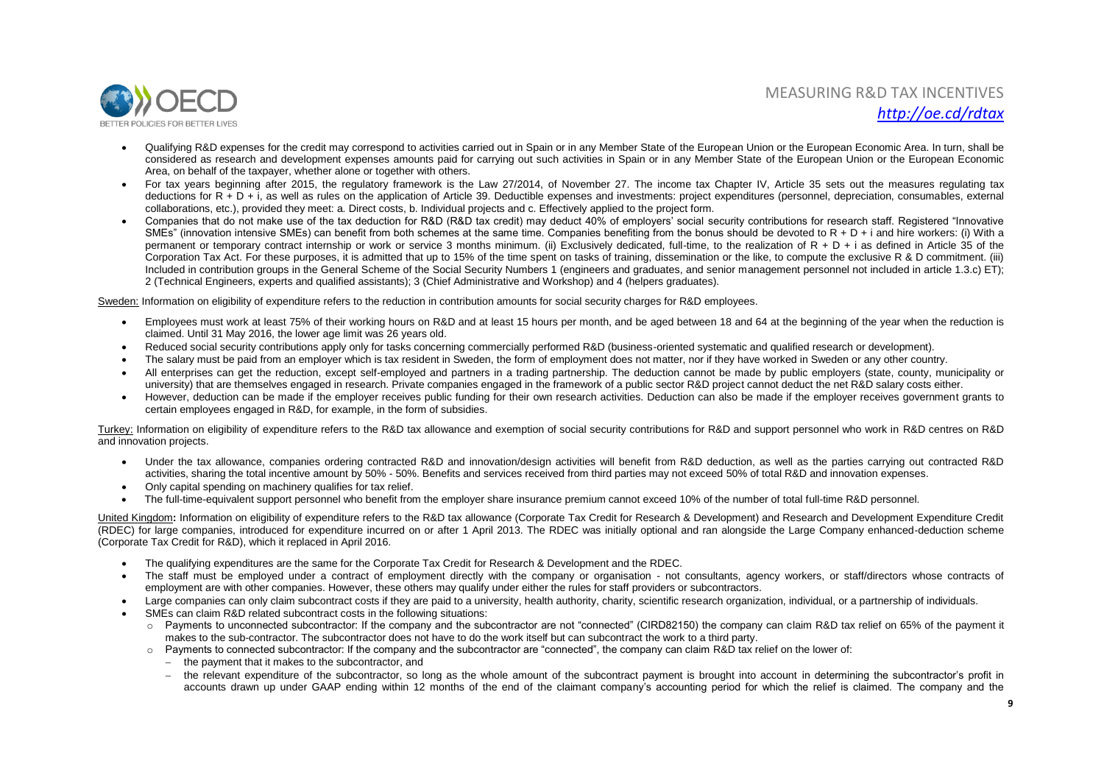

- Qualifying R&D expenses for the credit may correspond to activities carried out in Spain or in any Member State of the European Union or the European Economic Area. In turn, shall be considered as research and development expenses amounts paid for carrying out such activities in Spain or in any Member State of the European Union or the European Economic Area, on behalf of the taxpayer, whether alone or together with others.
- For tax years beginning after 2015, the regulatory framework is the Law 27/2014, of November 27. The income tax Chapter IV, Article 35 sets out the measures regulating tax deductions for R + D + i, as well as rules on the application of Article 39. Deductible expenses and investments: project expenditures (personnel, depreciation, consumables, external collaborations, etc.), provided they meet: a. Direct costs, b. Individual projects and c. Effectively applied to the project form.
- Companies that do not make use of the tax deduction for R&D (R&D tax credit) may deduct 40% of employers' social security contributions for research staff. Registered "Innovative SMEs" (innovation intensive SMEs) can benefit from both schemes at the same time. Companies benefiting from the bonus should be devoted to  $R + D + i$  and hire workers: (i) With a permanent or temporary contract internship or work or service 3 months minimum. (ii) Exclusively dedicated, full-time, to the realization of  $R + D + i$  as defined in Article 35 of the Corporation Tax Act. For these purposes, it is admitted that up to 15% of the time spent on tasks of training, dissemination or the like, to compute the exclusive R & D commitment. (iii) Included in contribution groups in the General Scheme of the Social Security Numbers 1 (engineers and graduates, and senior management personnel not included in article 1.3.c) ET); 2 (Technical Engineers, experts and qualified assistants); 3 (Chief Administrative and Workshop) and 4 (helpers graduates).

Sweden: Information on eligibility of expenditure refers to the reduction in contribution amounts for social security charges for R&D employees.

- Employees must work at least 75% of their working hours on R&D and at least 15 hours per month, and be aged between 18 and 64 at the beginning of the year when the reduction is claimed. Until 31 May 2016, the lower age limit was 26 years old.
- Reduced social security contributions apply only for tasks concerning commercially performed R&D (business-oriented systematic and qualified research or development).
- The salary must be paid from an employer which is tax resident in Sweden, the form of employment does not matter, nor if they have worked in Sweden or any other country.
- All enterprises can get the reduction, except self-employed and partners in a trading partnership. The deduction cannot be made by public employers (state, county, municipality or university) that are themselves engaged in research. Private companies engaged in the framework of a public sector R&D project cannot deduct the net R&D salary costs either.
- However, deduction can be made if the employer receives public funding for their own research activities. Deduction can also be made if the employer receives government grants to certain employees engaged in R&D, for example, in the form of subsidies.

Turkey: Information on eligibility of expenditure refers to the R&D tax allowance and exemption of social security contributions for R&D and support personnel who work in R&D centres on R&D and innovation projects.

- Under the tax allowance, companies ordering contracted R&D and innovation/design activities will benefit from R&D deduction, as well as the parties carrying out contracted R&D activities, sharing the total incentive amount by 50% - 50%. Benefits and services received from third parties may not exceed 50% of total R&D and innovation expenses.
- Only capital spending on machinery qualifies for tax relief.
- The full-time-equivalent support personnel who benefit from the employer share insurance premium cannot exceed 10% of the number of total full-time R&D personnel.

United Kingdom: Information on eligibility of expenditure refers to the R&D tax allowance (Corporate Tax Credit for Research & Development) and Research and Development Expenditure Credit (RDEC) for large companies, introduced for expenditure incurred on or after 1 April 2013. The RDEC was initially optional and ran alongside the Large Company enhanced-deduction scheme (Corporate Tax Credit for R&D), which it replaced in April 2016.

- The qualifying expenditures are the same for the Corporate Tax Credit for Research & Development and the RDEC.
- The staff must be employed under a contract of employment directly with the company or organisation not consultants, agency workers, or staff/directors whose contracts of employment are with other companies. However, these others may qualify under either the rules for staff providers or subcontractors.
- Large companies can only claim subcontract costs if they are paid to a university, health authority, charity, scientific research organization, individual, or a partnership of individuals.
- SMEs can claim R&D related subcontract costs in the following situations:
	- Payments to unconnected subcontractor: If the company and the subcontractor are not "connected" (CIRD82150) the company can claim R&D tax relief on 65% of the payment it makes to the sub-contractor. The subcontractor does not have to do the work itself but can subcontract the work to a third party.
	- $\circ$  Payments to connected subcontractor: If the company and the subcontractor are "connected", the company can claim R&D tax relief on the lower of:
		- the payment that it makes to the subcontractor, and
		- the relevant expenditure of the subcontractor, so long as the whole amount of the subcontract payment is brought into account in determining the subcontractor's profit in accounts drawn up under GAAP ending within 12 months of the end of the claimant company's accounting period for which the relief is claimed. The company and the